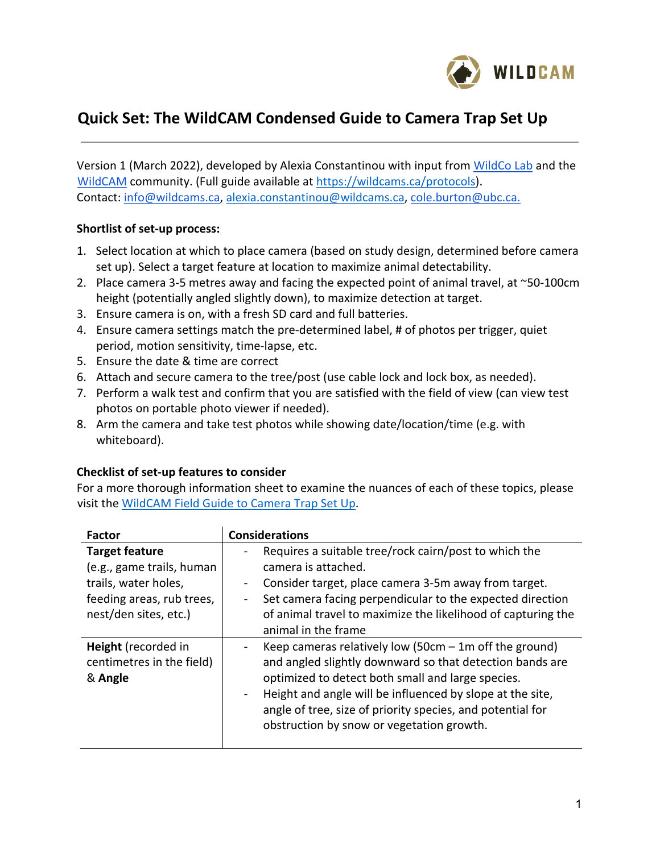

# **Quick Set: The WildCAM Condensed Guide to Camera Trap Set Up**

Version 1 (March 2022), developed by Alexia Constantinou with input from WildCo Lab and the WildCAM community. (Full guide available at https://wildcams.ca/protocols). Contact: info@wildcams.ca, alexia.constantinou@wildcams.ca, cole.burton@ubc.ca.

#### **Shortlist of set-up process:**

- 1. Select location at which to place camera (based on study design, determined before camera set up). Select a target feature at location to maximize animal detectability.
- 2. Place camera 3-5 metres away and facing the expected point of animal travel, at  $\sim$ 50-100cm height (potentially angled slightly down), to maximize detection at target.
- 3. Ensure camera is on, with a fresh SD card and full batteries.
- 4. Ensure camera settings match the pre-determined label, # of photos per trigger, quiet period, motion sensitivity, time-lapse, etc.
- 5. Ensure the date & time are correct
- 6. Attach and secure camera to the tree/post (use cable lock and lock box, as needed).
- 7. Perform a walk test and confirm that you are satisfied with the field of view (can view test photos on portable photo viewer if needed).
- 8. Arm the camera and take test photos while showing date/location/time (e.g. with whiteboard).

# **Checklist of set-up features to consider**

For a more thorough information sheet to examine the nuances of each of these topics, please visit the WildCAM Field Guide to Camera Trap Set Up.

| <b>Factor</b>                                                                  | <b>Considerations</b>                                                                                                                                                                                                                                                                                                                                                                           |
|--------------------------------------------------------------------------------|-------------------------------------------------------------------------------------------------------------------------------------------------------------------------------------------------------------------------------------------------------------------------------------------------------------------------------------------------------------------------------------------------|
| <b>Target feature</b>                                                          | Requires a suitable tree/rock cairn/post to which the<br>-                                                                                                                                                                                                                                                                                                                                      |
| (e.g., game trails, human<br>trails, water holes,<br>feeding areas, rub trees, | camera is attached.<br>Consider target, place camera 3-5m away from target.<br>$\blacksquare$<br>Set camera facing perpendicular to the expected direction<br>$\blacksquare$                                                                                                                                                                                                                    |
| nest/den sites, etc.)                                                          | of animal travel to maximize the likelihood of capturing the<br>animal in the frame                                                                                                                                                                                                                                                                                                             |
| Height (recorded in<br>centimetres in the field)<br>& Angle                    | Keep cameras relatively low (50cm $-$ 1m off the ground)<br>$\blacksquare$<br>and angled slightly downward so that detection bands are<br>optimized to detect both small and large species.<br>Height and angle will be influenced by slope at the site,<br>$\overline{\phantom{0}}$<br>angle of tree, size of priority species, and potential for<br>obstruction by snow or vegetation growth. |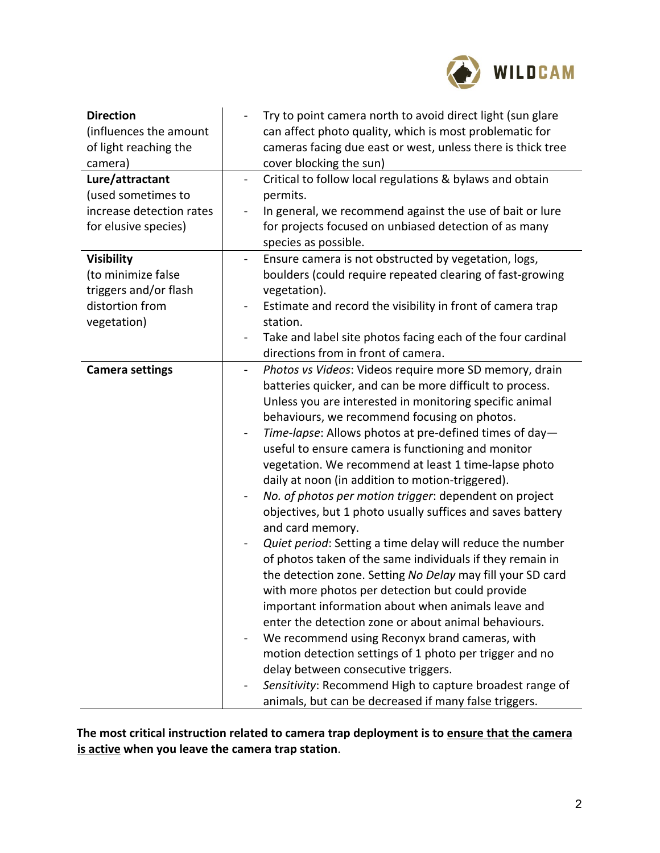

| <b>Direction</b><br>(influences the amount<br>of light reaching the<br>camera) | Try to point camera north to avoid direct light (sun glare<br>can affect photo quality, which is most problematic for<br>cameras facing due east or west, unless there is thick tree<br>cover blocking the sun)                                                                                                                                                                                                                                                                                                                                                                                                                                                                                                                                                                                                                                                                                                                                                                                                                                                                                                                                                                                                                                                          |
|--------------------------------------------------------------------------------|--------------------------------------------------------------------------------------------------------------------------------------------------------------------------------------------------------------------------------------------------------------------------------------------------------------------------------------------------------------------------------------------------------------------------------------------------------------------------------------------------------------------------------------------------------------------------------------------------------------------------------------------------------------------------------------------------------------------------------------------------------------------------------------------------------------------------------------------------------------------------------------------------------------------------------------------------------------------------------------------------------------------------------------------------------------------------------------------------------------------------------------------------------------------------------------------------------------------------------------------------------------------------|
| Lure/attractant<br>(used sometimes to                                          | Critical to follow local regulations & bylaws and obtain<br>$\blacksquare$<br>permits.                                                                                                                                                                                                                                                                                                                                                                                                                                                                                                                                                                                                                                                                                                                                                                                                                                                                                                                                                                                                                                                                                                                                                                                   |
| increase detection rates                                                       | In general, we recommend against the use of bait or lure                                                                                                                                                                                                                                                                                                                                                                                                                                                                                                                                                                                                                                                                                                                                                                                                                                                                                                                                                                                                                                                                                                                                                                                                                 |
| for elusive species)                                                           | for projects focused on unbiased detection of as many                                                                                                                                                                                                                                                                                                                                                                                                                                                                                                                                                                                                                                                                                                                                                                                                                                                                                                                                                                                                                                                                                                                                                                                                                    |
|                                                                                | species as possible.                                                                                                                                                                                                                                                                                                                                                                                                                                                                                                                                                                                                                                                                                                                                                                                                                                                                                                                                                                                                                                                                                                                                                                                                                                                     |
| <b>Visibility</b>                                                              | Ensure camera is not obstructed by vegetation, logs,<br>$\overline{\phantom{0}}$                                                                                                                                                                                                                                                                                                                                                                                                                                                                                                                                                                                                                                                                                                                                                                                                                                                                                                                                                                                                                                                                                                                                                                                         |
| (to minimize false                                                             | boulders (could require repeated clearing of fast-growing                                                                                                                                                                                                                                                                                                                                                                                                                                                                                                                                                                                                                                                                                                                                                                                                                                                                                                                                                                                                                                                                                                                                                                                                                |
| triggers and/or flash                                                          | vegetation).                                                                                                                                                                                                                                                                                                                                                                                                                                                                                                                                                                                                                                                                                                                                                                                                                                                                                                                                                                                                                                                                                                                                                                                                                                                             |
| distortion from                                                                | Estimate and record the visibility in front of camera trap                                                                                                                                                                                                                                                                                                                                                                                                                                                                                                                                                                                                                                                                                                                                                                                                                                                                                                                                                                                                                                                                                                                                                                                                               |
| vegetation)                                                                    | station.                                                                                                                                                                                                                                                                                                                                                                                                                                                                                                                                                                                                                                                                                                                                                                                                                                                                                                                                                                                                                                                                                                                                                                                                                                                                 |
|                                                                                | Take and label site photos facing each of the four cardinal                                                                                                                                                                                                                                                                                                                                                                                                                                                                                                                                                                                                                                                                                                                                                                                                                                                                                                                                                                                                                                                                                                                                                                                                              |
|                                                                                | directions from in front of camera.                                                                                                                                                                                                                                                                                                                                                                                                                                                                                                                                                                                                                                                                                                                                                                                                                                                                                                                                                                                                                                                                                                                                                                                                                                      |
| <b>Camera settings</b>                                                         | Photos vs Videos: Videos require more SD memory, drain<br>batteries quicker, and can be more difficult to process.<br>Unless you are interested in monitoring specific animal<br>behaviours, we recommend focusing on photos.<br>Time-lapse: Allows photos at pre-defined times of day-<br>$\qquad \qquad \blacksquare$<br>useful to ensure camera is functioning and monitor<br>vegetation. We recommend at least 1 time-lapse photo<br>daily at noon (in addition to motion-triggered).<br>No. of photos per motion trigger: dependent on project<br>objectives, but 1 photo usually suffices and saves battery<br>and card memory.<br>Quiet period: Setting a time delay will reduce the number<br>of photos taken of the same individuals if they remain in<br>the detection zone. Setting No Delay may fill your SD card<br>with more photos per detection but could provide<br>important information about when animals leave and<br>enter the detection zone or about animal behaviours.<br>We recommend using Reconyx brand cameras, with<br>motion detection settings of 1 photo per trigger and no<br>delay between consecutive triggers.<br>Sensitivity: Recommend High to capture broadest range of<br>animals, but can be decreased if many false triggers. |

**The most critical instruction related to camera trap deployment is to ensure that the camera is active when you leave the camera trap station**.